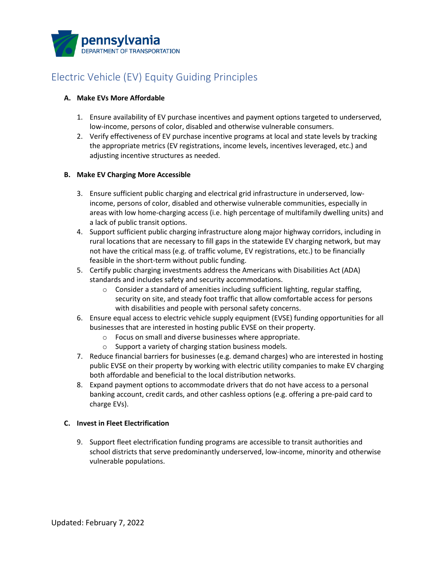

# Electric Vehicle (EV) Equity Guiding Principles

## **A. Make EVs More Affordable**

- 1. Ensure availability of EV purchase incentives and payment options targeted to underserved, low-income, persons of color, disabled and otherwise vulnerable consumers.
- 2. Verify effectiveness of EV purchase incentive programs at local and state levels by tracking the appropriate metrics (EV registrations, income levels, incentives leveraged, etc.) and adjusting incentive structures as needed.

## **B. Make EV Charging More Accessible**

- 3. Ensure sufficient public charging and electrical grid infrastructure in underserved, lowincome, persons of color, disabled and otherwise vulnerable communities, especially in areas with low home-charging access (i.e. high percentage of multifamily dwelling units) and a lack of public transit options.
- 4. Support sufficient public charging infrastructure along major highway corridors, including in rural locations that are necessary to fill gaps in the statewide EV charging network, but may not have the critical mass (e.g. of traffic volume, EV registrations, etc.) to be financially feasible in the short-term without public funding.
- 5. Certify public charging investments address the Americans with Disabilities Act (ADA) standards and includes safety and security accommodations.
	- o Consider a standard of amenities including sufficient lighting, regular staffing, security on site, and steady foot traffic that allow comfortable access for persons with disabilities and people with personal safety concerns.
- 6. Ensure equal access to electric vehicle supply equipment (EVSE) funding opportunities for all businesses that are interested in hosting public EVSE on their property.
	- o Focus on small and diverse businesses where appropriate.
	- o Support a variety of charging station business models.
- 7. Reduce financial barriers for businesses (e.g. demand charges) who are interested in hosting public EVSE on their property by working with electric utility companies to make EV charging both affordable and beneficial to the local distribution networks.
- 8. Expand payment options to accommodate drivers that do not have access to a personal banking account, credit cards, and other cashless options (e.g. offering a pre-paid card to charge EVs).

#### **C. Invest in Fleet Electrification**

9. Support fleet electrification funding programs are accessible to transit authorities and school districts that serve predominantly underserved, low-income, minority and otherwise vulnerable populations.